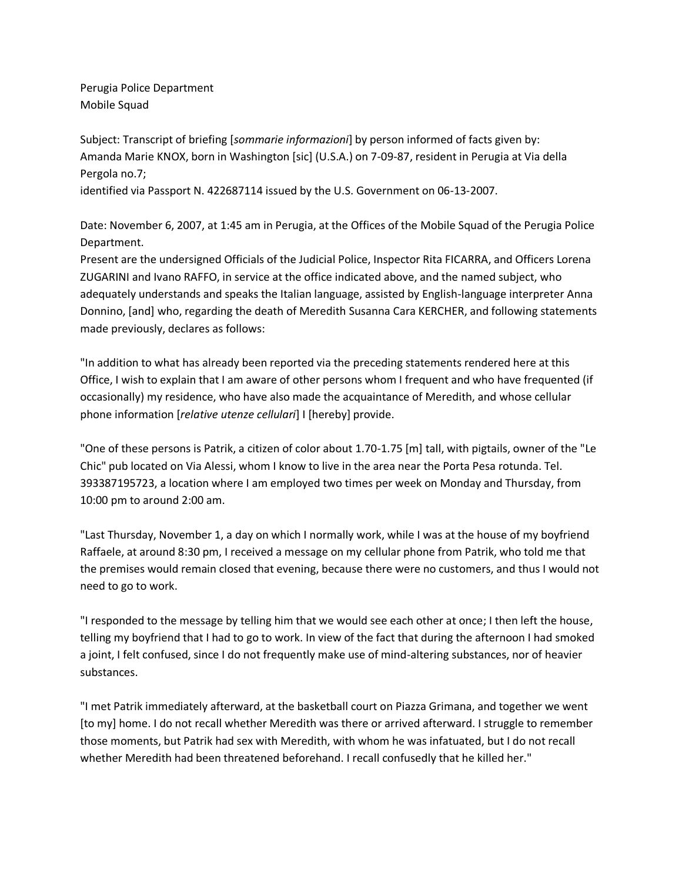Perugia Police Department Mobile Squad

Subject: Transcript of briefing [*sommarie informazioni*] by person informed of facts given by: Amanda Marie KNOX, born in Washington [sic] (U.S.A.) on 7-09-87, resident in Perugia at Via della Pergola no.7;

identified via Passport N. 422687114 issued by the U.S. Government on 06-13-2007.

Date: November 6, 2007, at 1:45 am in Perugia, at the Offices of the Mobile Squad of the Perugia Police Department.

Present are the undersigned Officials of the Judicial Police, Inspector Rita FICARRA, and Officers Lorena ZUGARINI and Ivano RAFFO, in service at the office indicated above, and the named subject, who adequately understands and speaks the Italian language, assisted by English-language interpreter Anna Donnino, [and] who, regarding the death of Meredith Susanna Cara KERCHER, and following statements made previously, declares as follows:

"In addition to what has already been reported via the preceding statements rendered here at this Office, I wish to explain that I am aware of other persons whom I frequent and who have frequented (if occasionally) my residence, who have also made the acquaintance of Meredith, and whose cellular phone information [*relative utenze cellulari*] I [hereby] provide.

"One of these persons is Patrik, a citizen of color about 1.70-1.75 [m] tall, with pigtails, owner of the "Le Chic" pub located on Via Alessi, whom I know to live in the area near the Porta Pesa rotunda. Tel. 393387195723, a location where I am employed two times per week on Monday and Thursday, from 10:00 pm to around 2:00 am.

"Last Thursday, November 1, a day on which I normally work, while I was at the house of my boyfriend Raffaele, at around 8:30 pm, I received a message on my cellular phone from Patrik, who told me that the premises would remain closed that evening, because there were no customers, and thus I would not need to go to work.

"I responded to the message by telling him that we would see each other at once; I then left the house, telling my boyfriend that I had to go to work. In view of the fact that during the afternoon I had smoked a joint, I felt confused, since I do not frequently make use of mind-altering substances, nor of heavier substances.

"I met Patrik immediately afterward, at the basketball court on Piazza Grimana, and together we went [to my] home. I do not recall whether Meredith was there or arrived afterward. I struggle to remember those moments, but Patrik had sex with Meredith, with whom he was infatuated, but I do not recall whether Meredith had been threatened beforehand. I recall confusedly that he killed her."